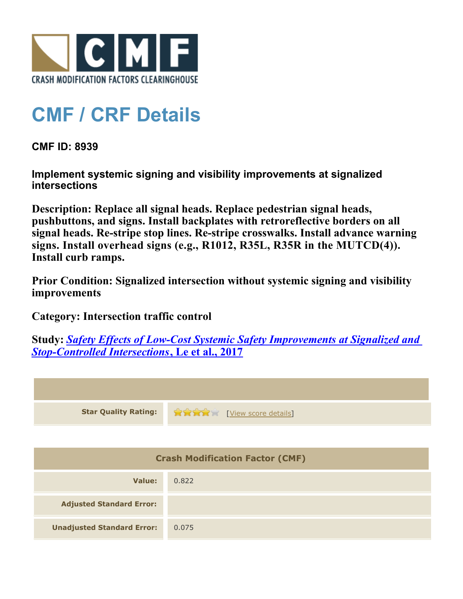

## **CMF / CRF Details**

**CMF ID: 8939**

**Implement systemic signing and visibility improvements at signalized intersections**

**Description: Replace all signal heads. Replace pedestrian signal heads, pushbuttons, and signs. Install backplates with retroreflective borders on all signal heads. Re-stripe stop lines. Re-stripe crosswalks. Install advance warning signs. Install overhead signs (e.g., R1012, R35L, R35R in the MUTCD(4)). Install curb ramps.**

**Prior Condition: Signalized intersection without systemic signing and visibility improvements**

**Category: Intersection traffic control**

**Study:** *[Safety Effects of Low-Cost Systemic Safety Improvements at Signalized and](http://www.cmfclearinghouse.org/study_detail.cfm?stid=492) [Stop-Controlled Intersections](http://www.cmfclearinghouse.org/study_detail.cfm?stid=492)***[, Le et al., 2017](http://www.cmfclearinghouse.org/study_detail.cfm?stid=492)**



| <b>Crash Modification Factor (CMF)</b> |       |  |
|----------------------------------------|-------|--|
| Value:                                 | 0.822 |  |
| <b>Adjusted Standard Error:</b>        |       |  |
| <b>Unadjusted Standard Error:</b>      | 0.075 |  |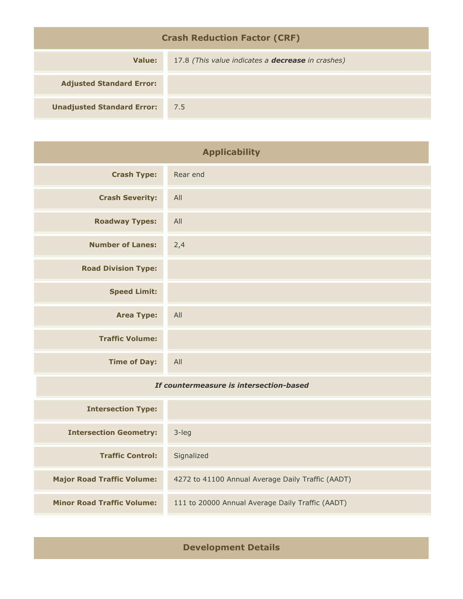| <b>Crash Reduction Factor (CRF)</b> |                                                          |  |
|-------------------------------------|----------------------------------------------------------|--|
| Value:                              | 17.8 (This value indicates a <b>decrease</b> in crashes) |  |
| <b>Adjusted Standard Error:</b>     |                                                          |  |
| <b>Unadjusted Standard Error:</b>   | 7.5                                                      |  |

| <b>Applicability</b>                    |          |
|-----------------------------------------|----------|
| <b>Crash Type:</b>                      | Rear end |
| <b>Crash Severity:</b>                  | All      |
| <b>Roadway Types:</b>                   | All      |
| <b>Number of Lanes:</b>                 | 2,4      |
| <b>Road Division Type:</b>              |          |
| <b>Speed Limit:</b>                     |          |
| <b>Area Type:</b>                       | All      |
| <b>Traffic Volume:</b>                  |          |
| <b>Time of Day:</b>                     | All      |
| If countermeasure is intersection-based |          |
| <b>Intersection Type:</b>               |          |
| <b>Intersection Geometry:</b>           | 3-leg    |
|                                         |          |

| <b>Traffic Control:</b>           | Signalized                                        |
|-----------------------------------|---------------------------------------------------|
| <b>Major Road Traffic Volume:</b> | 4272 to 41100 Annual Average Daily Traffic (AADT) |
| <b>Minor Road Traffic Volume:</b> | 111 to 20000 Annual Average Daily Traffic (AADT)  |

**Development Details**